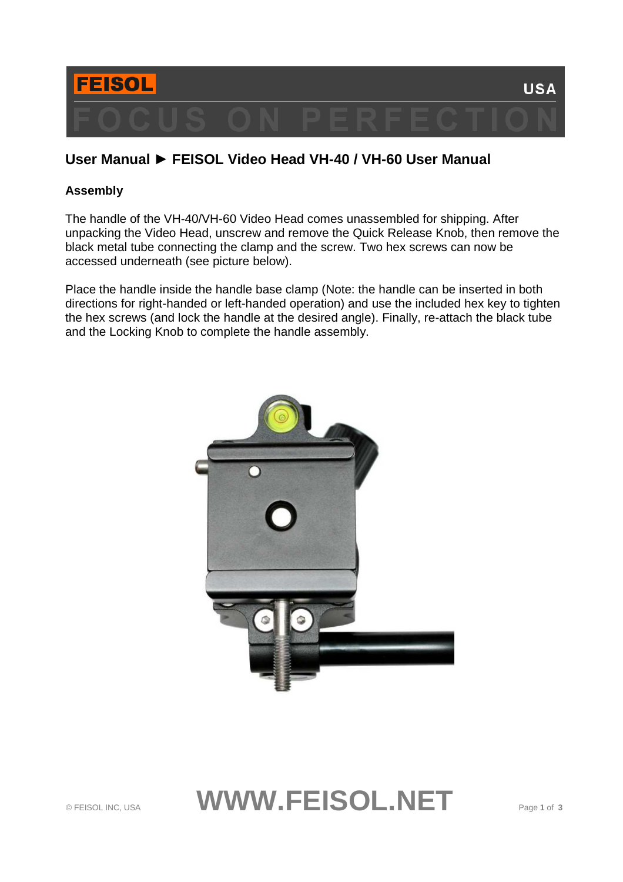

# **User Manual ► FEISOL Video Head VH-40 / VH-60 User Manual**

# **Assembly**

The handle of the VH-40/VH-60 Video Head comes unassembled for shipping. After unpacking the Video Head, unscrew and remove the Quick Release Knob, then remove the black metal tube connecting the clamp and the screw. Two hex screws can now be accessed underneath (see picture below).

Place the handle inside the handle base clamp (Note: the handle can be inserted in both directions for right-handed or left-handed operation) and use the included hex key to tighten the hex screws (and lock the handle at the desired angle). Finally, re-attach the black tube and the Locking Knob to complete the handle assembly.

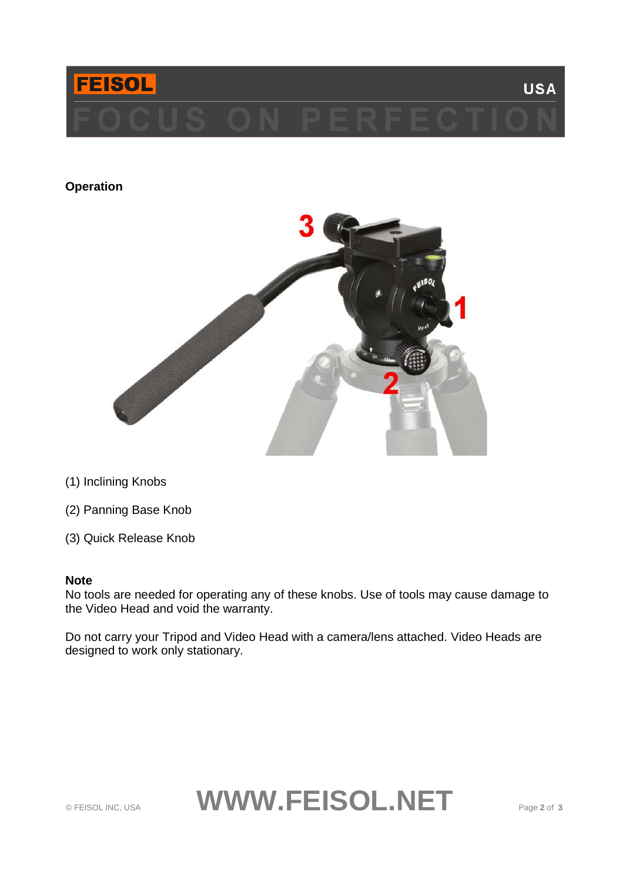

# **Operation**



- (1) Inclining Knobs
- (2) Panning Base Knob
- (3) Quick Release Knob

#### **Note**

No tools are needed for operating any of these knobs. Use of tools may cause damage to the Video Head and void the warranty.

Do not carry your Tripod and Video Head with a camera/lens attached. Video Heads are designed to work only stationary.

# © FEISOL INC, USA **WWW.FEISOL.NET** Page **2** of **<sup>3</sup>**